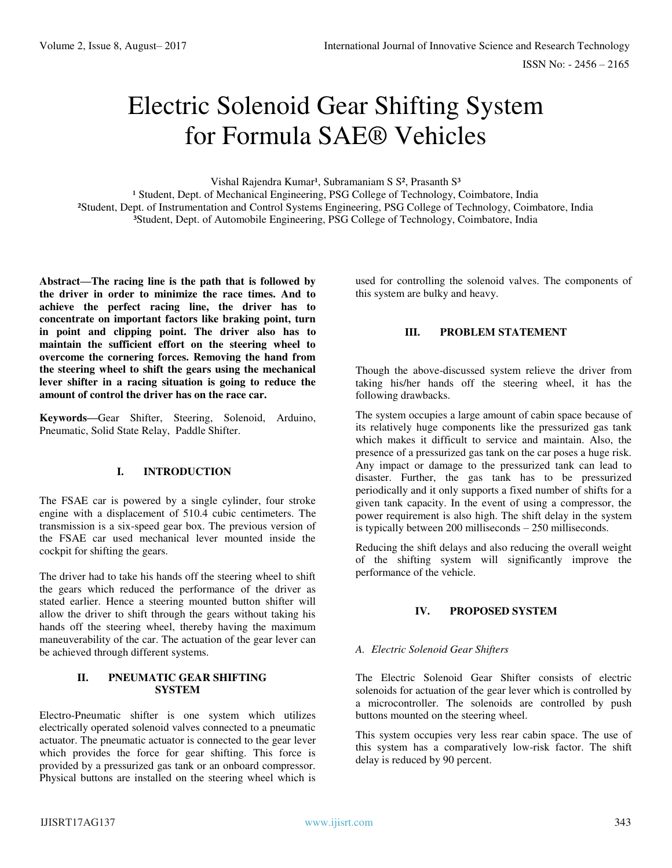# Electric Solenoid Gear Shifting System for Formula SAE® Vehicles

Vishal Rajendra Kumar<sup>1</sup>, Subramaniam S S<sup>2</sup>, Prasanth S<sup>3</sup>

<sup>1</sup> Student, Dept. of Mechanical Engineering, PSG College of Technology, Coimbatore, India ²Student, Dept. of Instrumentation and Control Systems Engineering, PSG College of Technology, Coimbatore, India <sup>3</sup>Student, Dept. of Automobile Engineering, PSG College of Technology, Coimbatore, India

**Abstract—The racing line is the path that is followed by the driver in order to minimize the race times. And to achieve the perfect racing line, the driver has to concentrate on important factors like braking point, turn in point and clipping point. The driver also has to maintain the sufficient effort on the steering wheel to overcome the cornering forces. Removing the hand from the steering wheel to shift the gears using the mechanical lever shifter in a racing situation is going to reduce the amount of control the driver has on the race car.** 

**Keywords—**Gear Shifter, Steering, Solenoid, Arduino, Pneumatic, Solid State Relay, Paddle Shifter.

## **I. INTRODUCTION**

The FSAE car is powered by a single cylinder, four stroke engine with a displacement of 510.4 cubic centimeters. The transmission is a six-speed gear box. The previous version of the FSAE car used mechanical lever mounted inside the cockpit for shifting the gears.

The driver had to take his hands off the steering wheel to shift the gears which reduced the performance of the driver as stated earlier. Hence a steering mounted button shifter will allow the driver to shift through the gears without taking his hands off the steering wheel, thereby having the maximum maneuverability of the car. The actuation of the gear lever can be achieved through different systems.

#### **II. PNEUMATIC GEAR SHIFTING SYSTEM**

Electro-Pneumatic shifter is one system which utilizes electrically operated solenoid valves connected to a pneumatic actuator. The pneumatic actuator is connected to the gear lever which provides the force for gear shifting. This force is provided by a pressurized gas tank or an onboard compressor. Physical buttons are installed on the steering wheel which is used for controlling the solenoid valves. The components of this system are bulky and heavy.

# **III. PROBLEM STATEMENT**

Though the above-discussed system relieve the driver from taking his/her hands off the steering wheel, it has the following drawbacks.

The system occupies a large amount of cabin space because of its relatively huge components like the pressurized gas tank which makes it difficult to service and maintain. Also, the presence of a pressurized gas tank on the car poses a huge risk. Any impact or damage to the pressurized tank can lead to disaster. Further, the gas tank has to be pressurized periodically and it only supports a fixed number of shifts for a given tank capacity. In the event of using a compressor, the power requirement is also high. The shift delay in the system is typically between 200 milliseconds – 250 milliseconds.

Reducing the shift delays and also reducing the overall weight of the shifting system will significantly improve the performance of the vehicle.

# **IV. PROPOSED SYSTEM**

## *A. Electric Solenoid Gear Shifters*

The Electric Solenoid Gear Shifter consists of electric solenoids for actuation of the gear lever which is controlled by a microcontroller. The solenoids are controlled by push buttons mounted on the steering wheel.

This system occupies very less rear cabin space. The use of this system has a comparatively low-risk factor. The shift delay is reduced by 90 percent.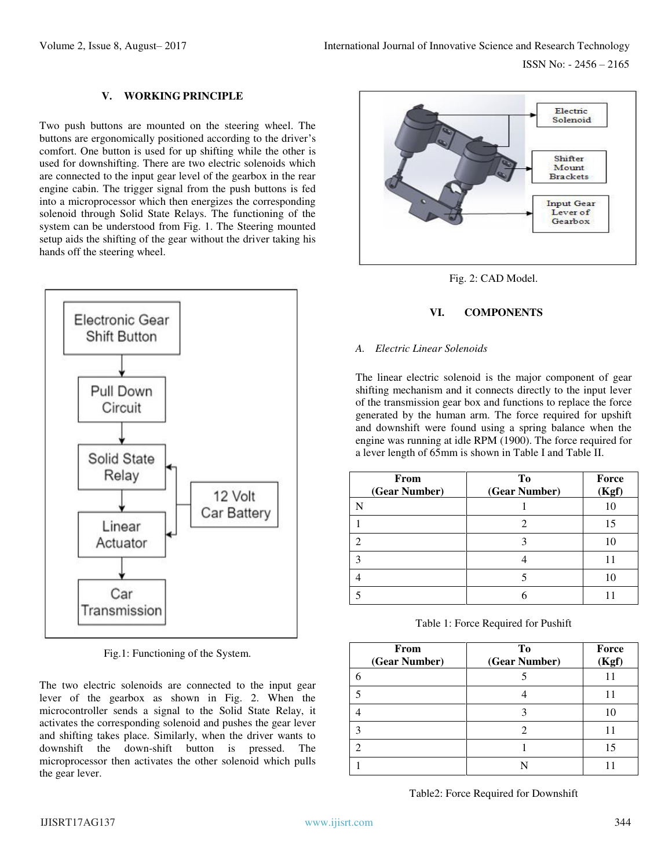# **V. WORKING PRINCIPLE**

Two push buttons are mounted on the steering wheel. The buttons are ergonomically positioned according to the driver's comfort. One button is used for up shifting while the other is used for downshifting. There are two electric solenoids which are connected to the input gear level of the gearbox in the rear engine cabin. The trigger signal from the push buttons is fed into a microprocessor which then energizes the corresponding solenoid through Solid State Relays. The functioning of the system can be understood from Fig. 1. The Steering mounted setup aids the shifting of the gear without the driver taking his hands off the steering wheel.



Fig.1: Functioning of the System.

The two electric solenoids are connected to the input gear lever of the gearbox as shown in Fig. 2. When the microcontroller sends a signal to the Solid State Relay, it activates the corresponding solenoid and pushes the gear lever and shifting takes place. Similarly, when the driver wants to downshift the down-shift button is pressed. The microprocessor then activates the other solenoid which pulls the gear lever.





# **VI. COMPONENTS**

#### *A. Electric Linear Solenoids*

The linear electric solenoid is the major component of gear shifting mechanism and it connects directly to the input lever of the transmission gear box and functions to replace the force generated by the human arm. The force required for upshift and downshift were found using a spring balance when the engine was running at idle RPM (1900). The force required for a lever length of 65mm is shown in Table I and Table II.

| From<br>(Gear Number)       | To<br>(Gear Number) | Force<br>(Kgf) |
|-----------------------------|---------------------|----------------|
| N                           |                     |                |
|                             |                     | 15             |
| $\mathcal{D}_{\mathcal{L}}$ |                     |                |
| 3                           |                     |                |
|                             |                     | 10             |
|                             |                     |                |

Table 1: Force Required for Pushift

| From<br>(Gear Number) | To<br>(Gear Number) | Force<br>(Kof) |
|-----------------------|---------------------|----------------|
|                       |                     |                |
| 5                     |                     | 11             |
|                       |                     | 10             |
| 3                     |                     | 11             |
|                       |                     | 15             |
|                       |                     |                |

Table2: Force Required for Downshift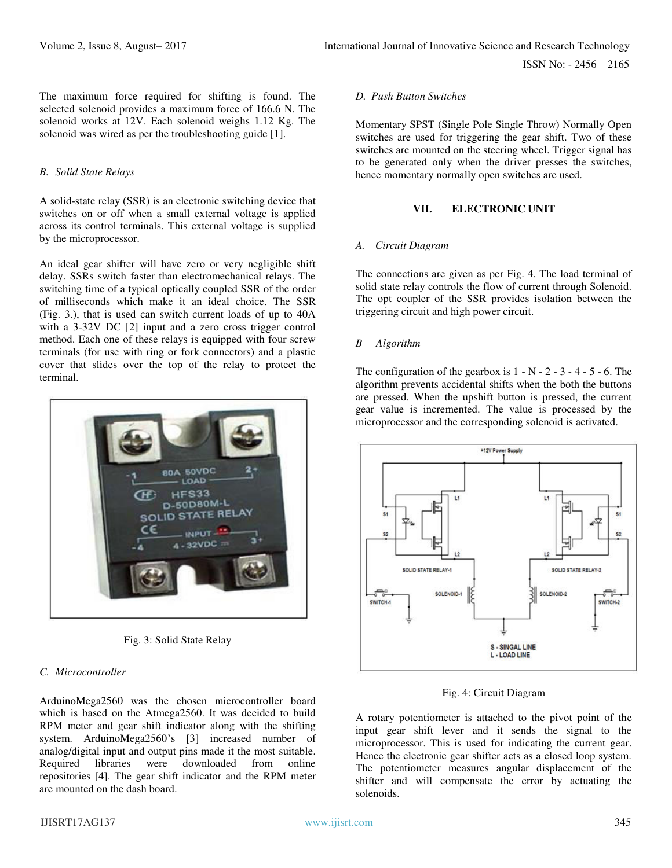ISSN No: - 2456 – 2165

The maximum force required for shifting is found. The selected solenoid provides a maximum force of 166.6 N. The solenoid works at 12V. Each solenoid weighs 1.12 Kg. The solenoid was wired as per the troubleshooting guide [1].

#### *B. Solid State Relays*

A solid-state relay (SSR) is an electronic switching device that switches on or off when a small external voltage is applied across its control terminals. This external voltage is supplied by the microprocessor.

An ideal gear shifter will have zero or very negligible shift delay. SSRs switch faster than electromechanical relays. The switching time of a typical optically coupled SSR of the order of milliseconds which make it an ideal choice. The SSR (Fig. 3.), that is used can switch current loads of up to 40A with a 3-32V DC [2] input and a zero cross trigger control method. Each one of these relays is equipped with four screw terminals (for use with ring or fork connectors) and a plastic cover that slides over the top of the relay to protect the terminal.



Fig. 3: Solid State Relay

## *C. Microcontroller*

ArduinoMega2560 was the chosen microcontroller board which is based on the Atmega2560. It was decided to build RPM meter and gear shift indicator along with the shifting system. ArduinoMega2560's [3] increased number of analog/digital input and output pins made it the most suitable. Required libraries were downloaded from online repositories [4]. The gear shift indicator and the RPM meter are mounted on the dash board.

#### *D. Push Button Switches*

Momentary SPST (Single Pole Single Throw) Normally Open switches are used for triggering the gear shift. Two of these switches are mounted on the steering wheel. Trigger signal has to be generated only when the driver presses the switches, hence momentary normally open switches are used.

#### **VII. ELECTRONIC UNIT**

#### *A. Circuit Diagram*

The connections are given as per Fig. 4. The load terminal of solid state relay controls the flow of current through Solenoid. The opt coupler of the SSR provides isolation between the triggering circuit and high power circuit.

#### *B Algorithm*

The configuration of the gearbox is  $1 - N - 2 - 3 - 4 - 5 - 6$ . The algorithm prevents accidental shifts when the both the buttons are pressed. When the upshift button is pressed, the current gear value is incremented. The value is processed by the microprocessor and the corresponding solenoid is activated.



Fig. 4: Circuit Diagram

A rotary potentiometer is attached to the pivot point of the input gear shift lever and it sends the signal to the microprocessor. This is used for indicating the current gear. Hence the electronic gear shifter acts as a closed loop system. The potentiometer measures angular displacement of the shifter and will compensate the error by actuating the solenoids.